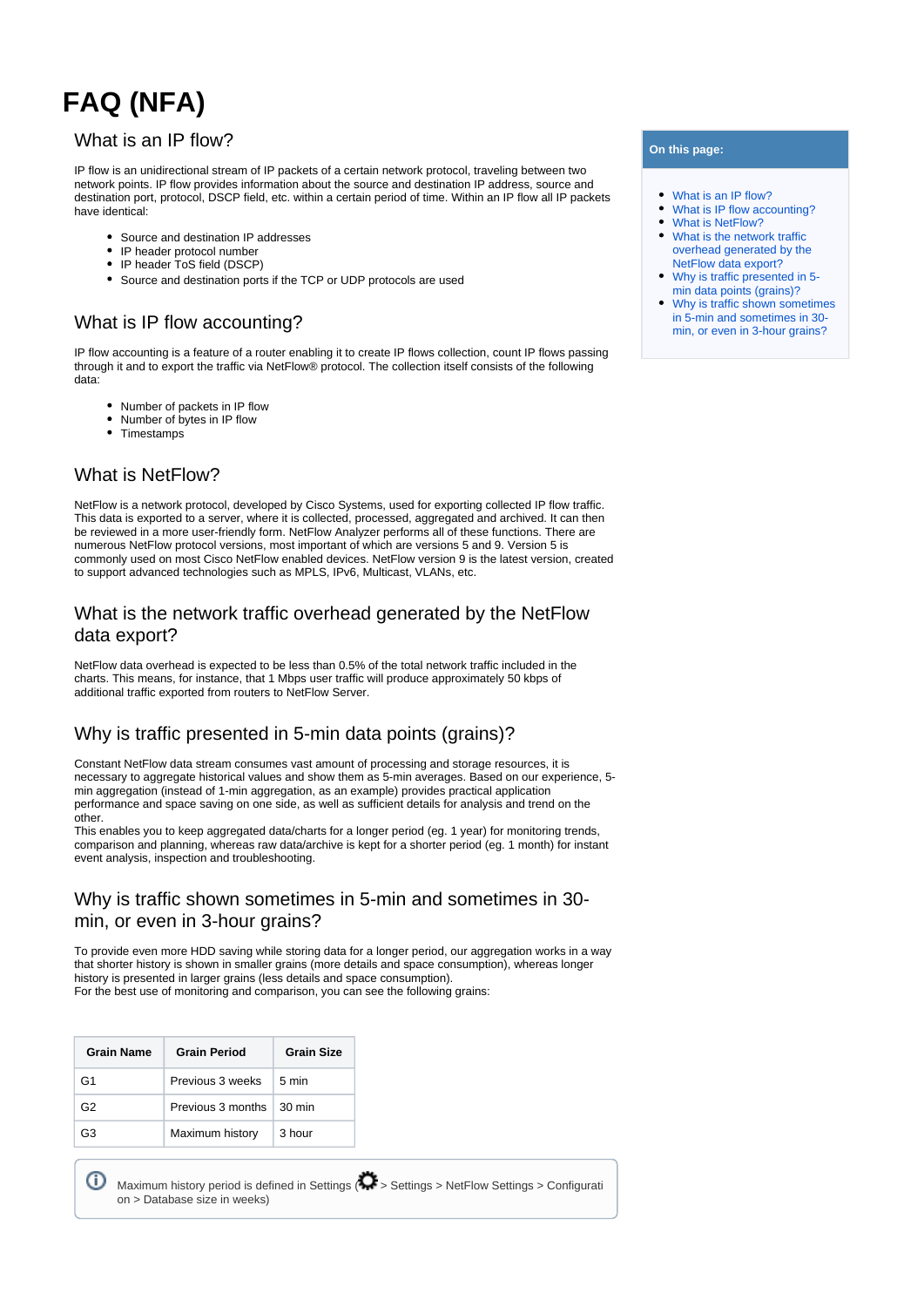# **FAQ (NFA)**

#### <span id="page-0-0"></span>What is an IP flow?

IP flow is an unidirectional stream of IP packets of a certain network protocol, traveling between two network points. IP flow provides information about the source and destination IP address, source and destination port, protocol, DSCP field, etc. within a certain period of time. Within an IP flow all IP packets have identical:

- Source and destination IP addresses
- IP header protocol number
- IP header ToS field (DSCP)
- Source and destination ports if the TCP or UDP protocols are used

## <span id="page-0-1"></span>What is IP flow accounting?

IP flow accounting is a feature of a router enabling it to create IP flows collection, count IP flows passing through it and to export the traffic via NetFlow® protocol. The collection itself consists of the following data:

- Number of packets in IP flow
- Number of bytes in IP flow
- Timestamps

## <span id="page-0-2"></span>What is NetFlow?

NetFlow is a network protocol, developed by Cisco Systems, used for exporting collected IP flow traffic. This data is exported to a server, where it is collected, processed, aggregated and archived. It can then be reviewed in a more user-friendly form. NetFlow Analyzer performs all of these functions. There are numerous NetFlow protocol versions, most important of which are versions 5 and 9. Version 5 is commonly used on most Cisco NetFlow enabled devices. NetFlow version 9 is the latest version, created to support advanced technologies such as MPLS. IPv6, Multicast, VLANs, etc.

### <span id="page-0-3"></span>What is the network traffic overhead generated by the NetFlow data export?

NetFlow data overhead is expected to be less than 0.5% of the total network traffic included in the charts. This means, for instance, that 1 Mbps user traffic will produce approximately 50 kbps of additional traffic exported from routers to NetFlow Server.

## <span id="page-0-4"></span>Why is traffic presented in 5-min data points (grains)?

Constant NetFlow data stream consumes vast amount of processing and storage resources, it is necessary to aggregate historical values and show them as 5-min averages. Based on our experience, 5min aggregation (instead of 1-min aggregation, as an example) provides practical application performance and space saving on one side, as well as sufficient details for analysis and trend on the other.

This enables you to keep aggregated data/charts for a longer period (eg. 1 year) for monitoring trends, comparison and planning, whereas raw data/archive is kept for a shorter period (eg. 1 month) for instant event analysis, inspection and troubleshooting.

### <span id="page-0-5"></span>Why is traffic shown sometimes in 5-min and sometimes in 30 min, or even in 3-hour grains?

To provide even more HDD saving while storing data for a longer period, our aggregation works in a way that shorter history is shown in smaller grains (more details and space consumption), whereas longer history is presented in larger grains (less details and space consumption). For the best use of monitoring and comparison, you can see the following grains:

| <b>Grain Name</b> | <b>Grain Period</b>             | <b>Grain Size</b> |  |  |
|-------------------|---------------------------------|-------------------|--|--|
| G <sub>1</sub>    | Previous 3 weeks                | 5 min             |  |  |
| G2                | Previous 3 months $\mid$ 30 min |                   |  |  |
| GЗ                | Maximum history                 | 3 hour            |  |  |

| <b>D</b> Maximum history period is defined in Settings $\langle \bullet \rangle$ > Settings > NetFlow Settings > Configurati |  |  |  |
|------------------------------------------------------------------------------------------------------------------------------|--|--|--|
| on > Database size in weeks)                                                                                                 |  |  |  |

#### **On this page:**

- $\bullet$ [What is an IP flow?](#page-0-0)
- [What is IP flow accounting?](#page-0-1)
- [What is NetFlow?](#page-0-2)
- [What is the network traffic](#page-0-3)  [overhead generated by the](#page-0-3)  [NetFlow data export?](#page-0-3)
- [Why is traffic presented in 5](#page-0-4) [min data points \(grains\)?](#page-0-4)
- [Why is traffic shown sometimes](#page-0-5)  [in 5-min and sometimes in 30](#page-0-5) [min, or even in 3-hour grains?](#page-0-5)